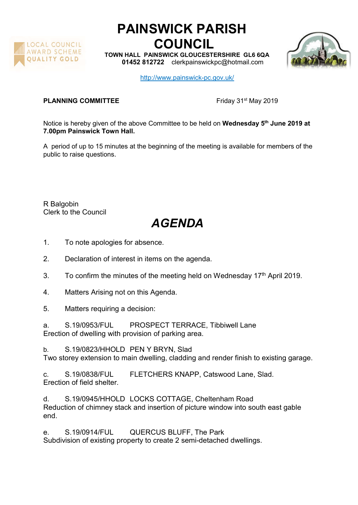

## PAINSWICK PARISH COUNCIL

TOWN HALL PAINSWICK GLOUCESTERSHIRE GL6 6QA 01452 812722 clerkpainswickpc@hotmail.com



http://www.painswick-pc.gov.uk/

## **PLANNING COMMITTEE** Friday 31<sup>st</sup> May 2019

Notice is hereby given of the above Committee to be held on Wednesday 5<sup>th</sup> June 2019 at 7.00pm Painswick Town Hall.

A period of up to 15 minutes at the beginning of the meeting is available for members of the public to raise questions.

R Balgobin Clerk to the Council

## AGENDA

- 1. To note apologies for absence.
- 2. Declaration of interest in items on the agenda.
- 3. To confirm the minutes of the meeting held on Wednesday  $17<sup>th</sup>$  April 2019.
- 4. Matters Arising not on this Agenda.
- 5. Matters requiring a decision:
- a. S.19/0953/FUL PROSPECT TERRACE, Tibbiwell Lane Erection of dwelling with provision of parking area.

b. S.19/0823/HHOLD PEN Y BRYN, Slad Two storey extension to main dwelling, cladding and render finish to existing garage.

c. S.19/0838/FUL FLETCHERS KNAPP, Catswood Lane, Slad. Erection of field shelter.

d. S.19/0945/HHOLD LOCKS COTTAGE, Cheltenham Road Reduction of chimney stack and insertion of picture window into south east gable end.

e. S.19/0914/FUL QUERCUS BLUFF, The Park Subdivision of existing property to create 2 semi-detached dwellings.